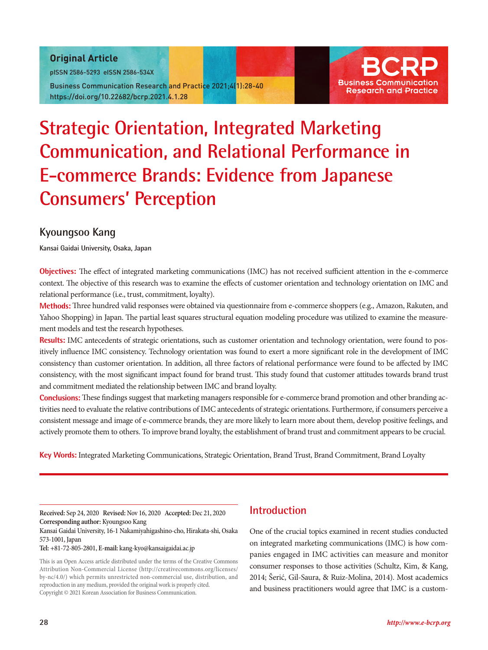### Original Article

pISSN 2586-5293 eISSN 2586-534X

Business Communication Research and Practice 2021;4(1):28-40 https://doi.org/10.22682/bcrp.2021.4.1.28



# **Strategic Orientation, Integrated Marketing Communication, and Relational Performance in E-commerce Brands: Evidence from Japanese Consumers' Perception**

# **Kyoungsoo Kang**

**Kansai Gaidai University, Osaka, Japan**

**Objectives:** The effect of integrated marketing communications (IMC) has not received sufficient attention in the e-commerce context. The objective of this research was to examine the effects of customer orientation and technology orientation on IMC and relational performance (i.e., trust, commitment, loyalty).

**Methods:** Three hundred valid responses were obtained via questionnaire from e-commerce shoppers (e.g., Amazon, Rakuten, and Yahoo Shopping) in Japan. The partial least squares structural equation modeling procedure was utilized to examine the measurement models and test the research hypotheses.

**Results:** IMC antecedents of strategic orientations, such as customer orientation and technology orientation, were found to positively influence IMC consistency. Technology orientation was found to exert a more significant role in the development of IMC consistency than customer orientation. In addition, all three factors of relational performance were found to be affected by IMC consistency, with the most significant impact found for brand trust. This study found that customer attitudes towards brand trust and commitment mediated the relationship between IMC and brand loyalty.

**Conclusions:** These findings suggest that marketing managers responsible for e-commerce brand promotion and other branding activities need to evaluate the relative contributions of IMC antecedents of strategic orientations. Furthermore, if consumers perceive a consistent message and image of e-commerce brands, they are more likely to learn more about them, develop positive feelings, and actively promote them to others. To improve brand loyalty, the establishment of brand trust and commitment appears to be crucial.

**Key Words:** Integrated Marketing Communications, Strategic Orientation, Brand Trust, Brand Commitment, Brand Loyalty

**Received:** Sep 24, 2020 **Revised:** Nov 16, 2020 **Accepted:** Dec 21, 2020 **Corresponding author:** Kyoungsoo Kang

Kansai Gaidai University, 16-1 Nakamiyahigashino-cho, Hirakata-shi, Osaka 573-1001, Japan

**Tel:** +81-72-805-2801, **E-mail:** kang-kyo@kansaigaidai.ac.jp

This is an Open Access article distributed under the terms of the Creative Commons Attribution Non-Commercial License (http://creativecommons.org/licenses/ by-nc/4.0/) which permits unrestricted non-commercial use, distribution, and reproduction in any medium, provided the original work is properly cited. Copyright © 2021 Korean Association for Business Communication.

## **Introduction**

One of the crucial topics examined in recent studies conducted on integrated marketing communications (IMC) is how companies engaged in IMC activities can measure and monitor consumer responses to those activities (Schultz, Kim, & Kang, 2014; Šerić, Gil-Saura, & Ruiz-Molina, 2014). Most academics and business practitioners would agree that IMC is a custom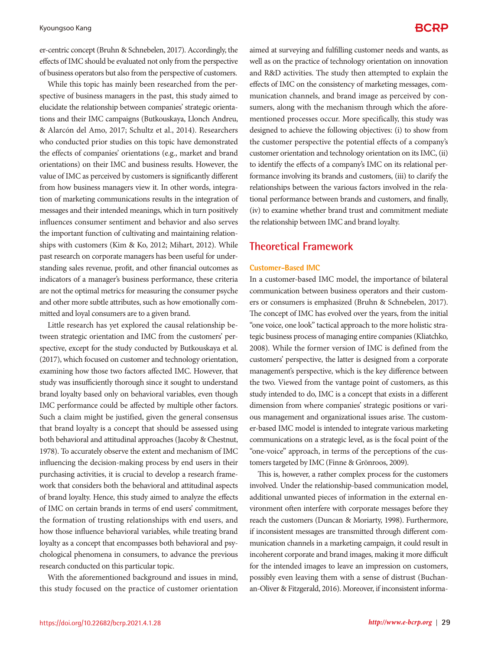er-centric concept (Bruhn & Schnebelen, 2017). Accordingly, the effects of IMC should be evaluated not only from the perspective of business operators but also from the perspective of customers.

While this topic has mainly been researched from the perspective of business managers in the past, this study aimed to elucidate the relationship between companies' strategic orientations and their IMC campaigns (Butkouskaya, Llonch Andreu, & Alarcón del Amo, 2017; Schultz et al., 2014). Researchers who conducted prior studies on this topic have demonstrated the effects of companies' orientations (e.g., market and brand orientations) on their IMC and business results. However, the value of IMC as perceived by customers is significantly different from how business managers view it. In other words, integration of marketing communications results in the integration of messages and their intended meanings, which in turn positively influences consumer sentiment and behavior and also serves the important function of cultivating and maintaining relationships with customers (Kim & Ko, 2012; Mihart, 2012). While past research on corporate managers has been useful for understanding sales revenue, profit, and other financial outcomes as indicators of a manager's business performance, these criteria are not the optimal metrics for measuring the consumer psyche and other more subtle attributes, such as how emotionally committed and loyal consumers are to a given brand.

Little research has yet explored the causal relationship between strategic orientation and IMC from the customers' perspective, except for the study conducted by Butkouskaya et al. (2017), which focused on customer and technology orientation, examining how those two factors affected IMC. However, that study was insufficiently thorough since it sought to understand brand loyalty based only on behavioral variables, even though IMC performance could be affected by multiple other factors. Such a claim might be justified, given the general consensus that brand loyalty is a concept that should be assessed using both behavioral and attitudinal approaches (Jacoby & Chestnut, 1978). To accurately observe the extent and mechanism of IMC influencing the decision-making process by end users in their purchasing activities, it is crucial to develop a research framework that considers both the behavioral and attitudinal aspects of brand loyalty. Hence, this study aimed to analyze the effects of IMC on certain brands in terms of end users' commitment, the formation of trusting relationships with end users, and how those influence behavioral variables, while treating brand loyalty as a concept that encompasses both behavioral and psychological phenomena in consumers, to advance the previous research conducted on this particular topic.

With the aforementioned background and issues in mind, this study focused on the practice of customer orientation aimed at surveying and fulfilling customer needs and wants, as well as on the practice of technology orientation on innovation and R&D activities. The study then attempted to explain the effects of IMC on the consistency of marketing messages, communication channels, and brand image as perceived by consumers, along with the mechanism through which the aforementioned processes occur. More specifically, this study was designed to achieve the following objectives: (i) to show from the customer perspective the potential effects of a company's customer orientation and technology orientation on its IMC, (ii) to identify the effects of a company's IMC on its relational performance involving its brands and customers, (iii) to clarify the relationships between the various factors involved in the relational performance between brands and customers, and finally, (iv) to examine whether brand trust and commitment mediate the relationship between IMC and brand loyalty.

### **Theoretical Framework**

### **Customer-Based IMC**

In a customer-based IMC model, the importance of bilateral communication between business operators and their customers or consumers is emphasized (Bruhn & Schnebelen, 2017). The concept of IMC has evolved over the years, from the initial "one voice, one look" tactical approach to the more holistic strategic business process of managing entire companies (Kliatchko, 2008). While the former version of IMC is defined from the customers' perspective, the latter is designed from a corporate management's perspective, which is the key difference between the two. Viewed from the vantage point of customers, as this study intended to do, IMC is a concept that exists in a different dimension from where companies' strategic positions or various management and organizational issues arise. The customer-based IMC model is intended to integrate various marketing communications on a strategic level, as is the focal point of the "one-voice" approach, in terms of the perceptions of the customers targeted by IMC (Finne & Grönroos, 2009).

This is, however, a rather complex process for the customers involved. Under the relationship-based communication model, additional unwanted pieces of information in the external environment often interfere with corporate messages before they reach the customers (Duncan & Moriarty, 1998). Furthermore, if inconsistent messages are transmitted through different communication channels in a marketing campaign, it could result in incoherent corporate and brand images, making it more difficult for the intended images to leave an impression on customers, possibly even leaving them with a sense of distrust (Buchanan-Oliver & Fitzgerald, 2016). Moreover, if inconsistent informa-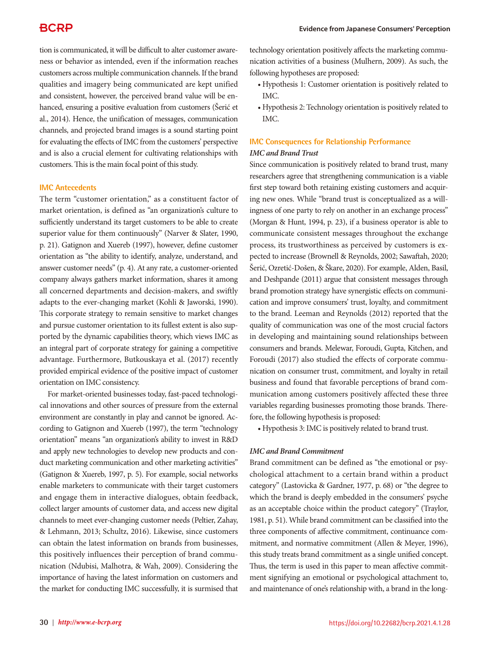tion is communicated, it will be difficult to alter customer awareness or behavior as intended, even if the information reaches customers across multiple communication channels. If the brand qualities and imagery being communicated are kept unified and consistent, however, the perceived brand value will be enhanced, ensuring a positive evaluation from customers (Šerić et al., 2014). Hence, the unification of messages, communication channels, and projected brand images is a sound starting point for evaluating the effects of IMC from the customers' perspective and is also a crucial element for cultivating relationships with customers. This is the main focal point of this study.

### **IMC Antecedents**

The term "customer orientation," as a constituent factor of market orientation, is defined as "an organization's culture to sufficiently understand its target customers to be able to create superior value for them continuously" (Narver & Slater, 1990, p. 21). Gatignon and Xuereb (1997), however, define customer orientation as "the ability to identify, analyze, understand, and answer customer needs" (p. 4). At any rate, a customer-oriented company always gathers market information, shares it among all concerned departments and decision-makers, and swiftly adapts to the ever-changing market (Kohli & Jaworski, 1990). This corporate strategy to remain sensitive to market changes and pursue customer orientation to its fullest extent is also supported by the dynamic capabilities theory, which views IMC as an integral part of corporate strategy for gaining a competitive advantage. Furthermore, Butkouskaya et al. (2017) recently provided empirical evidence of the positive impact of customer orientation on IMC consistency.

For market-oriented businesses today, fast-paced technological innovations and other sources of pressure from the external environment are constantly in play and cannot be ignored. According to Gatignon and Xuereb (1997), the term "technology orientation" means "an organization's ability to invest in R&D and apply new technologies to develop new products and conduct marketing communication and other marketing activities" (Gatignon & Xuereb, 1997, p. 5). For example, social networks enable marketers to communicate with their target customers and engage them in interactive dialogues, obtain feedback, collect larger amounts of customer data, and access new digital channels to meet ever-changing customer needs (Peltier, Zahay, & Lehmann, 2013; Schultz, 2016). Likewise, since customers can obtain the latest information on brands from businesses, this positively influences their perception of brand communication (Ndubisi, Malhotra, & Wah, 2009). Considering the importance of having the latest information on customers and the market for conducting IMC successfully, it is surmised that technology orientation positively affects the marketing communication activities of a business (Mulhern, 2009). As such, the following hypotheses are proposed:

- • Hypothesis 1: Customer orientation is positively related to IMC.
- • Hypothesis 2: Technology orientation is positively related to IMC.

### **IMC Consequences for Relationship Performance** *IMC and Brand Trust*

Since communication is positively related to brand trust, many researchers agree that strengthening communication is a viable first step toward both retaining existing customers and acquiring new ones. While "brand trust is conceptualized as a willingness of one party to rely on another in an exchange process" (Morgan & Hunt, 1994, p. 23), if a business operator is able to communicate consistent messages throughout the exchange process, its trustworthiness as perceived by customers is expected to increase (Brownell & Reynolds, 2002; Sawaftah, 2020; Šerić, Ozretić-Došen, & Škare, 2020). For example, Alden, Basil, and Deshpande (2011) argue that consistent messages through brand promotion strategy have synergistic effects on communication and improve consumers' trust, loyalty, and commitment to the brand. Leeman and Reynolds (2012) reported that the quality of communication was one of the most crucial factors in developing and maintaining sound relationships between consumers and brands. Melewar, Foroudi, Gupta, Kitchen, and Foroudi (2017) also studied the effects of corporate communication on consumer trust, commitment, and loyalty in retail business and found that favorable perceptions of brand communication among customers positively affected these three variables regarding businesses promoting those brands. Therefore, the following hypothesis is proposed:

• Hypothesis 3: IMC is positively related to brand trust.

### *IMC and Brand Commitment*

Brand commitment can be defined as "the emotional or psychological attachment to a certain brand within a product category" (Lastovicka & Gardner, 1977, p. 68) or "the degree to which the brand is deeply embedded in the consumers' psyche as an acceptable choice within the product category" (Traylor, 1981, p. 51). While brand commitment can be classified into the three components of affective commitment, continuance commitment, and normative commitment (Allen & Meyer, 1996), this study treats brand commitment as a single unified concept. Thus, the term is used in this paper to mean affective commitment signifying an emotional or psychological attachment to, and maintenance of one's relationship with, a brand in the long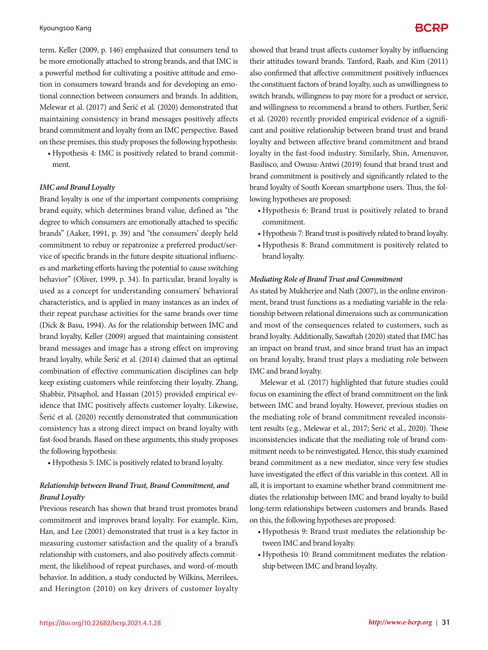term. Keller (2009, p. 146) emphasized that consumers tend to be more emotionally attached to strong brands, and that IMC is a powerful method for cultivating a positive attitude and emotion in consumers toward brands and for developing an emotional connection between consumers and brands. In addition, Melewar et al. (2017) and Šerić et al. (2020) demonstrated that maintaining consistency in brand messages positively affects brand commitment and loyalty from an IMC perspective. Based on these premises, this study proposes the following hypothesis:

• Hypothesis 4: IMC is positively related to brand commitment.

#### *IMC and Brand Loyalty*

Brand loyalty is one of the important components comprising brand equity, which determines brand value, defined as "the degree to which consumers are emotionally attached to specific brands" (Aaker, 1991, p. 39) and "the consumers' deeply held commitment to rebuy or repatronize a preferred product/service of specific brands in the future despite situational influences and marketing efforts having the potential to cause switching behavior" (Oliver, 1999, p. 34). In particular, brand loyalty is used as a concept for understanding consumers' behavioral characteristics, and is applied in many instances as an index of their repeat purchase activities for the same brands over time (Dick & Basu, 1994). As for the relationship between IMC and brand loyalty, Keller (2009) argued that maintaining consistent brand messages and image has a strong effect on improving brand loyalty, while Šerić et al. (2014) claimed that an optimal combination of effective communication disciplines can help keep existing customers while reinforcing their loyalty. Zhang, Shabbir, Pitsaphol, and Hassan (2015) provided empirical evidence that IMC positively affects customer loyalty. Likewise, Šerić et al. (2020) recently demonstrated that communication consistency has a strong direct impact on brand loyalty with fast-food brands. Based on these arguments, this study proposes the following hypothesis:

• Hypothesis 5: IMC is positively related to brand loyalty.

### *Relationship between Brand Trust, Brand Commitment, and Brand Loyalty*

Previous research has shown that brand trust promotes brand commitment and improves brand loyalty. For example, Kim, Han, and Lee (2001) demonstrated that trust is a key factor in measuring customer satisfaction and the quality of a brand's relationship with customers, and also positively affects commitment, the likelihood of repeat purchases, and word-of-mouth behavior. In addition, a study conducted by Wilkins, Merrilees, and Herington (2010) on key drivers of customer loyalty

showed that brand trust affects customer loyalty by influencing their attitudes toward brands. Tanford, Raab, and Kim (2011) also confirmed that affective commitment positively influences the constituent factors of brand loyalty, such as unwillingness to switch brands, willingness to pay more for a product or service, and willingness to recommend a brand to others. Further, Šerić et al. (2020) recently provided empirical evidence of a significant and positive relationship between brand trust and brand loyalty and between affective brand commitment and brand loyalty in the fast-food industry. Similarly, Shin, Amenuvor, Basilisco, and Owusu-Antwi (2019) found that brand trust and brand commitment is positively and significantly related to the brand loyalty of South Korean smartphone users. Thus, the following hypotheses are proposed:

- • Hypothesis 6: Brand trust is positively related to brand commitment.
- • Hypothesis 7: Brand trust is positively related to brand loyalty.
- • Hypothesis 8: Brand commitment is positively related to brand loyalty.

#### *Mediating Role of Brand Trust and Commitment*

As stated by Mukherjee and Nath (2007), in the online environment, brand trust functions as a mediating variable in the relationship between relational dimensions such as communication and most of the consequences related to customers, such as brand loyalty. Additionally, Sawaftah (2020) stated that IMC has an impact on brand trust, and since brand trust has an impact on brand loyalty, brand trust plays a mediating role between IMC and brand loyalty.

 Melewar et al. (2017) highlighted that future studies could focus on examining the effect of brand commitment on the link between IMC and brand loyalty. However, previous studies on the mediating role of brand commitment revealed inconsistent results (e.g., Melewar et al., 2017; Šerić et al., 2020). These inconsistencies indicate that the mediating role of brand commitment needs to be reinvestigated. Hence, this study examined brand commitment as a new mediator, since very few studies have investigated the effect of this variable in this context. All in all, it is important to examine whether brand commitment mediates the relationship between IMC and brand loyalty to build long-term relationships between customers and brands. Based on this, the following hypotheses are proposed:

- • Hypothesis 9: Brand trust mediates the relationship between IMC and brand loyalty.
- • Hypothesis 10: Brand commitment mediates the relationship between IMC and brand loyalty.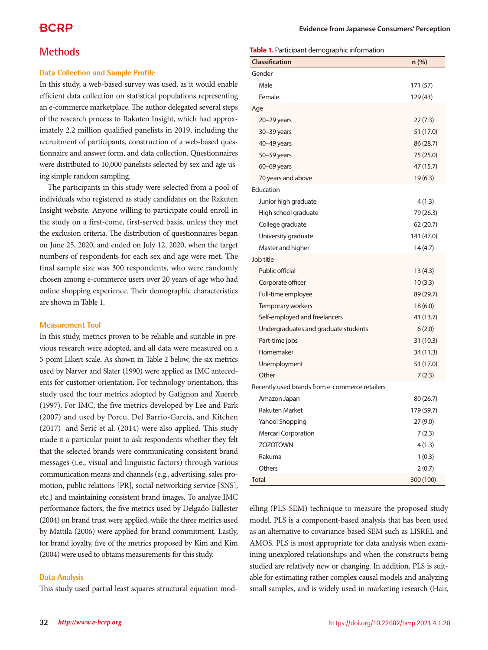### **Methods**

### **Data Collection and Sample Profile**

In this study, a web-based survey was used, as it would enable efficient data collection on statistical populations representing an e-commerce marketplace. The author delegated several steps of the research process to Rakuten Insight, which had approximately 2.2 million qualified panelists in 2019, including the recruitment of participants, construction of a web-based questionnaire and answer form, and data collection. Questionnaires were distributed to 10,000 panelists selected by sex and age using simple random sampling.

The participants in this study were selected from a pool of individuals who registered as study candidates on the Rakuten Insight website. Anyone willing to participate could enroll in the study on a first-come, first-served basis, unless they met the exclusion criteria. The distribution of questionnaires began on June 25, 2020, and ended on July 12, 2020, when the target numbers of respondents for each sex and age were met. The final sample size was 300 respondents, who were randomly chosen among e-commerce users over 20 years of age who had online shopping experience. Their demographic characteristics are shown in Table 1.

### **Measurement Tool**

In this study, metrics proven to be reliable and suitable in previous research were adopted, and all data were measured on a 5-point Likert scale. As shown in Table 2 below, the six metrics used by Narver and Slater (1990) were applied as IMC antecedents for customer orientation. For technology orientation, this study used the four metrics adopted by Gatignon and Xuereb (1997). For IMC, the five metrics developed by Lee and Park (2007) and used by Porcu, Del Barrio-García, and Kitchen (2017) and Šerić et al. (2014) were also applied. This study made it a particular point to ask respondents whether they felt that the selected brands were communicating consistent brand messages (i.e., visual and linguistic factors) through various communication means and channels (e.g., advertising, sales promotion, public relations [PR], social networking service [SNS], etc.) and maintaining consistent brand images. To analyze IMC performance factors, the five metrics used by Delgado-Ballester (2004) on brand trust were applied, while the three metrics used by Mattila (2006) were applied for brand commitment. Lastly, for brand loyalty, five of the metrics proposed by Kim and Kim (2004) were used to obtains measurements for this study.

### **Data Analysis**

This study used partial least squares structural equation mod-

#### **Table 1.** Participant demographic information

| <b>Classification</b>                          | $n$ (%)    |
|------------------------------------------------|------------|
| Gender                                         |            |
| Male                                           | 171 (57)   |
| Female                                         | 129 (43)   |
| Age                                            |            |
| $20 - 29$ years                                | 22(7.3)    |
| $30 - 39$ years                                | 51 (17.0)  |
| 40-49 years                                    | 86 (28.7)  |
| 50-59 years                                    | 75 (25.0)  |
| $60-69$ years                                  | 47 (15.7)  |
| 70 years and above                             | 19(6.3)    |
| Education                                      |            |
| Junior high graduate                           | 4(1.3)     |
| High school graduate                           | 79 (26.3)  |
| College graduate                               | 62 (20.7)  |
| University graduate                            | 141 (47.0) |
| Master and higher                              | 14(4.7)    |
| Job title                                      |            |
| Public official                                | 13(4.3)    |
| Corporate officer                              | 10(3.3)    |
| Full-time employee                             | 89 (29.7)  |
| Temporary workers                              | 18(6.0)    |
| Self-employed and freelancers                  | 41 (13.7)  |
| Undergraduates and graduate students           | 6(2.0)     |
| Part-time jobs                                 | 31 (10.3)  |
| Homemaker                                      | 34(11.3)   |
| Unemployment                                   | 51 (17.0)  |
| Other                                          | 7(2.3)     |
| Recently used brands from e-commerce retailers |            |
| Amazon Japan                                   | 80 (26.7)  |
| <b>Rakuten Market</b>                          | 179 (59.7) |
| Yahoo! Shopping                                | 27 (9.0)   |
| Mercari Corporation                            | 7(2.3)     |
| <b>ZOZOTOWN</b>                                | 4(1.3)     |
| Rakuma                                         | 1(0.3)     |
| Others                                         | 2(0.7)     |
| <b>Total</b>                                   | 300 (100)  |

elling (PLS-SEM) technique to measure the proposed study model. PLS is a component-based analysis that has been used as an alternative to covariance-based SEM such as LISREL and AMOS. PLS is most appropriate for data analysis when examining unexplored relationships and when the constructs being studied are relatively new or changing. In addition, PLS is suitable for estimating rather complex causal models and analyzing small samples, and is widely used in marketing research (Hair,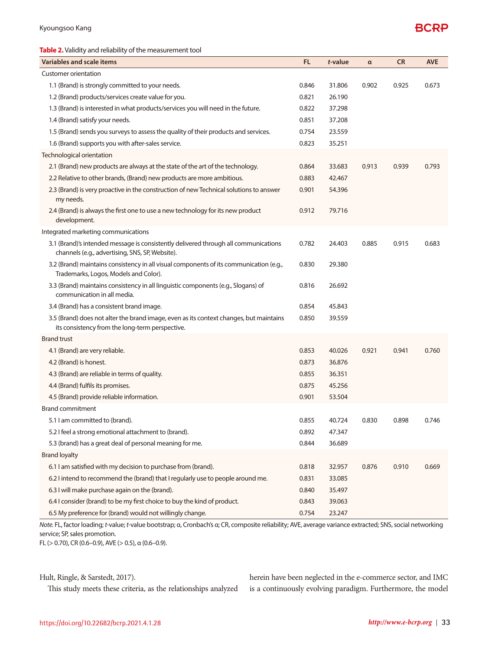### **Table 2.** Validity and reliability of the measurement tool

| Variables and scale items                                                                                                                 | FL.   | t-value | $\alpha$ | <b>CR</b> | <b>AVE</b> |
|-------------------------------------------------------------------------------------------------------------------------------------------|-------|---------|----------|-----------|------------|
| Customer orientation                                                                                                                      |       |         |          |           |            |
| 1.1 (Brand) is strongly committed to your needs.                                                                                          | 0.846 | 31.806  | 0.902    | 0.925     | 0.673      |
| 1.2 (Brand) products/services create value for you.                                                                                       | 0.821 | 26.190  |          |           |            |
| 1.3 (Brand) is interested in what products/services you will need in the future.                                                          | 0.822 | 37.298  |          |           |            |
| 1.4 (Brand) satisfy your needs.                                                                                                           | 0.851 | 37.208  |          |           |            |
| 1.5 (Brand) sends you surveys to assess the quality of their products and services.                                                       | 0.754 | 23.559  |          |           |            |
| 1.6 (Brand) supports you with after-sales service.                                                                                        | 0.823 | 35.251  |          |           |            |
| Technological orientation                                                                                                                 |       |         |          |           |            |
| 2.1 (Brand) new products are always at the state of the art of the technology.                                                            | 0.864 | 33.683  | 0.913    | 0.939     | 0.793      |
| 2.2 Relative to other brands, (Brand) new products are more ambitious.                                                                    | 0.883 | 42.467  |          |           |            |
| 2.3 (Brand) is very proactive in the construction of new Technical solutions to answer<br>my needs.                                       | 0.901 | 54.396  |          |           |            |
| 2.4 (Brand) is always the first one to use a new technology for its new product<br>development.                                           | 0.912 | 79.716  |          |           |            |
| Integrated marketing communications                                                                                                       |       |         |          |           |            |
| 3.1 (Brand)'s intended message is consistently delivered through all communications<br>channels (e.g., advertising, SNS, SP, Website).    | 0.782 | 24.403  | 0.885    | 0.915     | 0.683      |
| 3.2 (Brand) maintains consistency in all visual components of its communication (e.g.,<br>Trademarks, Logos, Models and Color).           | 0.830 | 29.380  |          |           |            |
| 3.3 (Brand) maintains consistency in all linguistic components (e.g., Slogans) of<br>communication in all media.                          | 0.816 | 26.692  |          |           |            |
| 3.4 (Brand) has a consistent brand image.                                                                                                 | 0.854 | 45.843  |          |           |            |
| 3.5 (Brand) does not alter the brand image, even as its context changes, but maintains<br>its consistency from the long-term perspective. | 0.850 | 39.559  |          |           |            |
| <b>Brand trust</b>                                                                                                                        |       |         |          |           |            |
| 4.1 (Brand) are very reliable.                                                                                                            | 0.853 | 40.026  | 0.921    | 0.941     | 0.760      |
| 4.2 (Brand) is honest.                                                                                                                    | 0.873 | 36.876  |          |           |            |
| 4.3 (Brand) are reliable in terms of quality.                                                                                             | 0.855 | 36.351  |          |           |            |
| 4.4 (Brand) fulfils its promises.                                                                                                         | 0.875 | 45.256  |          |           |            |
| 4.5 (Brand) provide reliable information.                                                                                                 | 0.901 | 53.504  |          |           |            |
| <b>Brand commitment</b>                                                                                                                   |       |         |          |           |            |
| 5.1 I am committed to (brand).                                                                                                            | 0.855 | 40.724  | 0.830    | 0.898     | 0.746      |
| 5.2 I feel a strong emotional attachment to (brand).                                                                                      | 0.892 | 47.347  |          |           |            |
| 5.3 (brand) has a great deal of personal meaning for me.                                                                                  | 0.844 | 36.689  |          |           |            |
| <b>Brand loyalty</b>                                                                                                                      |       |         |          |           |            |
| 6.1 I am satisfied with my decision to purchase from (brand).                                                                             | 0.818 | 32.957  | 0.876    | 0.910     | 0.669      |
| 6.2 I intend to recommend the (brand) that I regularly use to people around me.                                                           | 0.831 | 33.085  |          |           |            |
| 6.3 I will make purchase again on the (brand).                                                                                            | 0.840 | 35.497  |          |           |            |
| 6.4 I consider (brand) to be my first choice to buy the kind of product.                                                                  | 0.843 | 39.063  |          |           |            |
| 6.5 My preference for (brand) would not willingly change.                                                                                 | 0.754 | 23.247  |          |           |            |

*Note.* FL, factor loading; *t*-value; *t*-value bootstrap; α, Cronbach's α; CR, composite reliability; AVE, average variance extracted; SNS, social networking service; SP, sales promotion.

FL (> 0.70), CR (0.6–0.9), AVE (> 0.5), α (0.6–0.9).

Hult, Ringle, & Sarstedt, 2017).

This study meets these criteria, as the relationships analyzed

herein have been neglected in the e-commerce sector, and IMC is a continuously evolving paradigm. Furthermore, the model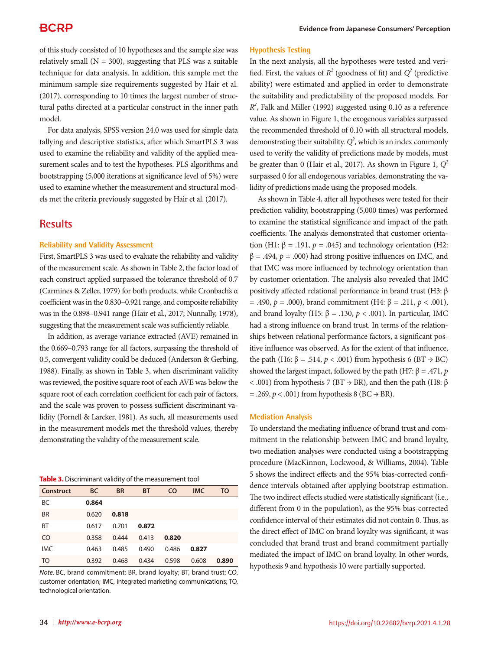of this study consisted of 10 hypotheses and the sample size was relatively small  $(N = 300)$ , suggesting that PLS was a suitable technique for data analysis. In addition, this sample met the minimum sample size requirements suggested by Hair et al. (2017), corresponding to 10 times the largest number of structural paths directed at a particular construct in the inner path model.

For data analysis, SPSS version 24.0 was used for simple data tallying and descriptive statistics, after which SmartPLS 3 was used to examine the reliability and validity of the applied measurement scales and to test the hypotheses. PLS algorithms and bootstrapping (5,000 iterations at significance level of 5%) were used to examine whether the measurement and structural models met the criteria previously suggested by Hair et al. (2017).

### **Results**

#### **Reliability and Validity Assessment**

First, SmartPLS 3 was used to evaluate the reliability and validity of the measurement scale. As shown in Table 2, the factor load of each construct applied surpassed the tolerance threshold of 0.7 (Carmines & Zeller, 1979) for both products, while Cronbach's α coefficient was in the 0.830–0.921 range, and composite reliability was in the 0.898–0.941 range (Hair et al., 2017; Nunnally, 1978), suggesting that the measurement scale was sufficiently reliable.

In addition, as average variance extracted (AVE) remained in the 0.669–0.793 range for all factors, surpassing the threshold of 0.5, convergent validity could be deduced (Anderson & Gerbing, 1988). Finally, as shown in Table 3, when discriminant validity was reviewed, the positive square root of each AVE was below the square root of each correlation coefficient for each pair of factors, and the scale was proven to possess sufficient discriminant validity (Fornell & Larcker, 1981). As such, all measurements used in the measurement models met the threshold values, thereby demonstrating the validity of the measurement scale.

#### **Table 3.** Discriminant validity of the measurement tool

| Construct      | <b>BC</b> | <b>BR</b> | <b>BT</b> | <b>CO</b> | <b>IMC</b> | TO    |
|----------------|-----------|-----------|-----------|-----------|------------|-------|
| BC             | 0.864     |           |           |           |            |       |
| <b>BR</b>      | 0.620     | 0.818     |           |           |            |       |
| <b>BT</b>      | 0.617     | 0.701     | 0.872     |           |            |       |
| C <sub>O</sub> | 0.358     | 0.444     | 0.413     | 0.820     |            |       |
| <b>IMC</b>     | 0.463     | 0.485     | 0.490     | 0.486     | 0.827      |       |
| <b>TO</b>      | 0.392     | 0.468     | 0.434     | 0.598     | 0.608      | 0.890 |

*Note.* BC, brand commitment; BR, brand loyalty; BT, brand trust; CO, customer orientation; IMC, integrated marketing communications; TO, technological orientation.

### **Hypothesis Testing**

In the next analysis, all the hypotheses were tested and verified. First, the values of  $R^2$  (goodness of fit) and  $Q^2$  (predictive ability) were estimated and applied in order to demonstrate the suitability and predictability of the proposed models. For *R2* , Falk and Miller (1992) suggested using 0.10 as a reference value. As shown in Figure 1, the exogenous variables surpassed the recommended threshold of 0.10 with all structural models, demonstrating their suitability.  $Q^2$ , which is an index commonly used to verify the validity of predictions made by models, must be greater than 0 (Hair et al., 2017). As shown in Figure 1,  $Q^2$ surpassed 0 for all endogenous variables, demonstrating the validity of predictions made using the proposed models.

As shown in Table 4, after all hypotheses were tested for their prediction validity, bootstrapping (5,000 times) was performed to examine the statistical significance and impact of the path coefficients. The analysis demonstrated that customer orientation (H1:  $\beta$  = .191,  $p$  = .045) and technology orientation (H2:  $β = .494, p = .000$ ) had strong positive influences on IMC, and that IMC was more influenced by technology orientation than by customer orientation. The analysis also revealed that IMC positively affected relational performance in brand trust (H3: β = .490,  $p = .000$ ), brand commitment (H4: β = .211,  $p < .001$ ), and brand loyalty (H5: β = .130,  $p < .001$ ). In particular, IMC had a strong influence on brand trust. In terms of the relationships between relational performance factors, a significant positive influence was observed. As for the extent of that influence, the path (H6: β = .514,  $p < .001$ ) from hypothesis 6 (BT  $\rightarrow$  BC) showed the largest impact, followed by the path (H7: β = .471, *p* < .001) from hypothesis 7 (BT  $\rightarrow$  BR), and then the path (H8: β  $=$  .269,  $p < .001$ ) from hypothesis 8 (BC  $\rightarrow$  BR).

#### **Mediation Analysis**

To understand the mediating influence of brand trust and commitment in the relationship between IMC and brand loyalty, two mediation analyses were conducted using a bootstrapping procedure (MacKinnon, Lockwood, & Williams, 2004). Table 5 shows the indirect effects and the 95% bias-corrected confidence intervals obtained after applying bootstrap estimation. The two indirect effects studied were statistically significant (i.e., different from 0 in the population), as the 95% bias-corrected confidence interval of their estimates did not contain 0. Thus, as the direct effect of IMC on brand loyalty was significant, it was concluded that brand trust and brand commitment partially mediated the impact of IMC on brand loyalty. In other words, hypothesis 9 and hypothesis 10 were partially supported.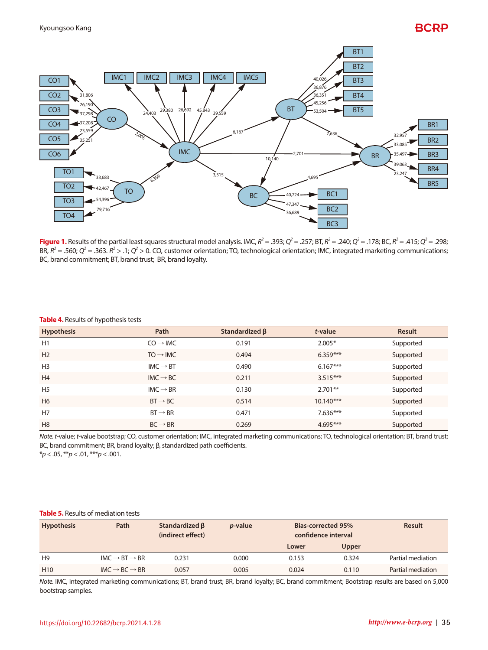

**Figure 1.** Results of the partial least squares structural model analysis. IMC,  $R^2 = .393$ ;  $Q^2 = .257$ ; BT,  $R^2 = .240$ ;  $Q^2 = .178$ ; BC,  $R^2 = .415$ ;  $Q^2 = .298$ ; BR,  $R^2 = .560$ ;  $Q^2 = .363$ .  $R^2 > .1$ ;  $Q^2 > 0$ . CO, customer orientation; TO, technological orientation; IMC, integrated marketing communications; BC, brand commitment; BT, brand trust; BR, brand loyalty.

| $\sim$<br><b>Hypothesis</b> | Path                 | Standardized $\beta$ | t-value     | <b>Result</b> |
|-----------------------------|----------------------|----------------------|-------------|---------------|
| H1                          | $CO \rightarrow$ IMC | 0.191                | $2.005*$    | Supported     |
| H <sub>2</sub>              | $TO \rightarrow IMC$ | 0.494                | $6.359***$  | Supported     |
| H <sub>3</sub>              | $IMC \rightarrow BT$ | 0.490                | $6.167***$  | Supported     |
| H4                          | $IMC \rightarrow BC$ | 0.211                | $3.515***$  | Supported     |
| H <sub>5</sub>              | $IMC \rightarrow BR$ | 0.130                | $2.701**$   | Supported     |
| H <sub>6</sub>              | $BT \rightarrow BC$  | 0.514                | $10.140***$ | Supported     |
| H7                          | $BT \rightarrow BR$  | 0.471                | $7.636***$  | Supported     |
| H <sub>8</sub>              | $BC \rightarrow BR$  | 0.269                | $4.695***$  | Supported     |

### **Table 4.** Results of hypothesis tests

*Note. t*-value; *t*-value bootstrap; CO, customer orientation; IMC, integrated marketing communications; TO, technological orientation; BT, brand trust; BC, brand commitment; BR, brand loyalty; β, standardized path coefficients. \**p* < .05, \*\**p* < .01, \*\*\**p* < .001.

#### **Table 5.** Results of mediation tests

| <b>Hypothesis</b> | Path                                | Standardized $\beta$<br>(indirect effect) | <i>p</i> -value | <b>Bias-corrected 95%</b><br>confidence interval |       | <b>Result</b>     |
|-------------------|-------------------------------------|-------------------------------------------|-----------------|--------------------------------------------------|-------|-------------------|
|                   |                                     |                                           |                 | Lower                                            | Upper |                   |
| H <sub>9</sub>    | $IMC \rightarrow BT \rightarrow BR$ | 0.231                                     | 0.000           | 0.153                                            | 0.324 | Partial mediation |
| H <sub>10</sub>   | $IMC \rightarrow BC \rightarrow BR$ | 0.057                                     | 0.005           | 0.024                                            | 0.110 | Partial mediation |

*Note.* IMC, integrated marketing communications; BT, brand trust; BR, brand loyalty; BC, brand commitment; Bootstrap results are based on 5,000 bootstrap samples.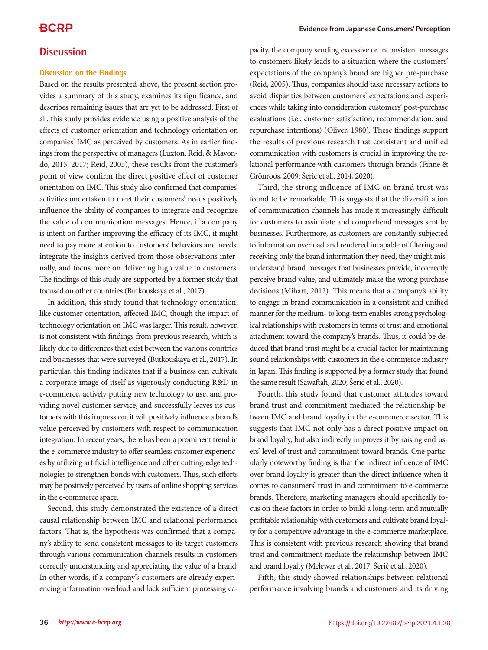### **Discussion**

### **Discussion on the Findings**

Based on the results presented above, the present section provides a summary of this study, examines its significance, and describes remaining issues that are yet to be addressed. First of all, this study provides evidence using a positive analysis of the effects of customer orientation and technology orientation on companies' IMC as perceived by customers. As in earlier findings from the perspective of managers (Luxton, Reid, & Mavondo, 2015, 2017; Reid, 2005), these results from the customer's point of view confirm the direct positive effect of customer orientation on IMC. This study also confirmed that companies' activities undertaken to meet their customers' needs positively influence the ability of companies to integrate and recognize the value of communication messages. Hence, if a company is intent on further improving the efficacy of its IMC, it might need to pay more attention to customers' behaviors and needs, integrate the insights derived from those observations internally, and focus more on delivering high value to customers. The findings of this study are supported by a former study that focused on other countries (Butkouskaya et al., 2017).

In addition, this study found that technology orientation, like customer orientation, affected IMC, though the impact of technology orientation on IMC was larger. This result, however, is not consistent with findings from previous research, which is likely due to differences that exist between the various countries and businesses that were surveyed (Butkouskaya et al., 2017). In particular, this finding indicates that if a business can cultivate a corporate image of itself as vigorously conducting R&D in e-commerce, actively putting new technology to use, and providing novel customer service, and successfully leaves its customers with this impression, it will positively influence a brand's value perceived by customers with respect to communication integration. In recent years, there has been a prominent trend in the e-commerce industry to offer seamless customer experiences by utilizing artificial intelligence and other cutting-edge technologies to strengthen bonds with customers. Thus, such efforts may be positively perceived by users of online shopping services in the e-commerce space.

Second, this study demonstrated the existence of a direct causal relationship between IMC and relational performance factors. That is, the hypothesis was confirmed that a company's ability to send consistent messages to its target customers through various communication channels results in customers correctly understanding and appreciating the value of a brand. In other words, if a company's customers are already experiencing information overload and lack sufficient processing ca-

pacity, the company sending excessive or inconsistent messages to customers likely leads to a situation where the customers' expectations of the company's brand are higher pre-purchase (Reid, 2005). Thus, companies should take necessary actions to avoid disparities between customers' expectations and experiences while taking into consideration customers' post-purchase evaluations (i.e., customer satisfaction, recommendation, and repurchase intentions) (Oliver, 1980). These findings support the results of previous research that consistent and unified communication with customers is crucial in improving the relational performance with customers through brands (Finne & Grönroos, 2009; Šerić et al., 2014, 2020).

Third, the strong influence of IMC on brand trust was found to be remarkable. This suggests that the diversification of communication channels has made it increasingly difficult for customers to assimilate and comprehend messages sent by businesses. Furthermore, as customers are constantly subjected to information overload and rendered incapable of filtering and receiving only the brand information they need, they might misunderstand brand messages that businesses provide, incorrectly perceive brand value, and ultimately make the wrong purchase decisions (Mihart, 2012). This means that a company's ability to engage in brand communication in a consistent and unified manner for the medium- to long-term enables strong psychological relationships with customers in terms of trust and emotional attachment toward the company's brands. Thus, it could be deduced that brand trust might be a crucial factor for maintaining sound relationships with customers in the e-commerce industry in Japan. This finding is supported by a former study that found the same result (Sawaftah, 2020; Šerić et al., 2020).

Fourth, this study found that customer attitudes toward brand trust and commitment mediated the relationship between IMC and brand loyalty in the e-commerce sector. This suggests that IMC not only has a direct positive impact on brand loyalty, but also indirectly improves it by raising end users' level of trust and commitment toward brands. One particularly noteworthy finding is that the indirect influence of IMC over brand loyalty is greater than the direct influence when it comes to consumers' trust in and commitment to e-commerce brands. Therefore, marketing managers should specifically focus on these factors in order to build a long-term and mutually profitable relationship with customers and cultivate brand loyalty for a competitive advantage in the e-commerce marketplace. This is consistent with previous research showing that brand trust and commitment mediate the relationship between IMC and brand loyalty (Melewar et al., 2017; Šerić et al., 2020).

Fifth, this study showed relationships between relational performance involving brands and customers and its driving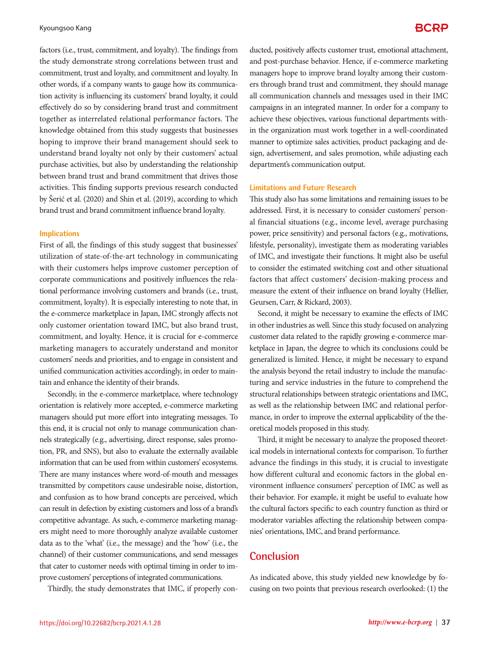factors (i.e., trust, commitment, and loyalty). The findings from the study demonstrate strong correlations between trust and commitment, trust and loyalty, and commitment and loyalty. In other words, if a company wants to gauge how its communication activity is influencing its customers' brand loyalty, it could effectively do so by considering brand trust and commitment together as interrelated relational performance factors. The knowledge obtained from this study suggests that businesses hoping to improve their brand management should seek to understand brand loyalty not only by their customers' actual purchase activities, but also by understanding the relationship between brand trust and brand commitment that drives those activities. This finding supports previous research conducted by Šerić et al. (2020) and Shin et al. (2019), according to which brand trust and brand commitment influence brand loyalty.

#### **Implications**

First of all, the findings of this study suggest that businesses' utilization of state-of-the-art technology in communicating with their customers helps improve customer perception of corporate communications and positively influences the relational performance involving customers and brands (i.e., trust, commitment, loyalty). It is especially interesting to note that, in the e-commerce marketplace in Japan, IMC strongly affects not only customer orientation toward IMC, but also brand trust, commitment, and loyalty. Hence, it is crucial for e-commerce marketing managers to accurately understand and monitor customers' needs and priorities, and to engage in consistent and unified communication activities accordingly, in order to maintain and enhance the identity of their brands.

Secondly, in the e-commerce marketplace, where technology orientation is relatively more accepted, e-commerce marketing managers should put more effort into integrating messages. To this end, it is crucial not only to manage communication channels strategically (e.g., advertising, direct response, sales promotion, PR, and SNS), but also to evaluate the externally available information that can be used from within customers' ecosystems. There are many instances where word-of-mouth and messages transmitted by competitors cause undesirable noise, distortion, and confusion as to how brand concepts are perceived, which can result in defection by existing customers and loss of a brand's competitive advantage. As such, e-commerce marketing managers might need to more thoroughly analyze available customer data as to the 'what' (i.e., the message) and the 'how' (i.e., the channel) of their customer communications, and send messages that cater to customer needs with optimal timing in order to improve customers' perceptions of integrated communications.

Thirdly, the study demonstrates that IMC, if properly con-

ducted, positively affects customer trust, emotional attachment, and post-purchase behavior. Hence, if e-commerce marketing managers hope to improve brand loyalty among their customers through brand trust and commitment, they should manage all communication channels and messages used in their IMC campaigns in an integrated manner. In order for a company to achieve these objectives, various functional departments within the organization must work together in a well-coordinated manner to optimize sales activities, product packaging and design, advertisement, and sales promotion, while adjusting each department's communication output.

### **Limitations and Future Research**

This study also has some limitations and remaining issues to be addressed. First, it is necessary to consider customers' personal financial situations (e.g., income level, average purchasing power, price sensitivity) and personal factors (e.g., motivations, lifestyle, personality), investigate them as moderating variables of IMC, and investigate their functions. It might also be useful to consider the estimated switching cost and other situational factors that affect customers' decision-making process and measure the extent of their influence on brand loyalty (Hellier, Geursen, Carr, & Rickard, 2003).

Second, it might be necessary to examine the effects of IMC in other industries as well. Since this study focused on analyzing customer data related to the rapidly growing e-commerce marketplace in Japan, the degree to which its conclusions could be generalized is limited. Hence, it might be necessary to expand the analysis beyond the retail industry to include the manufacturing and service industries in the future to comprehend the structural relationships between strategic orientations and IMC, as well as the relationship between IMC and relational performance, in order to improve the external applicability of the theoretical models proposed in this study.

Third, it might be necessary to analyze the proposed theoretical models in international contexts for comparison. To further advance the findings in this study, it is crucial to investigate how different cultural and economic factors in the global environment influence consumers' perception of IMC as well as their behavior. For example, it might be useful to evaluate how the cultural factors specific to each country function as third or moderator variables affecting the relationship between companies' orientations, IMC, and brand performance.

### **Conclusion**

As indicated above, this study yielded new knowledge by focusing on two points that previous research overlooked: (1) the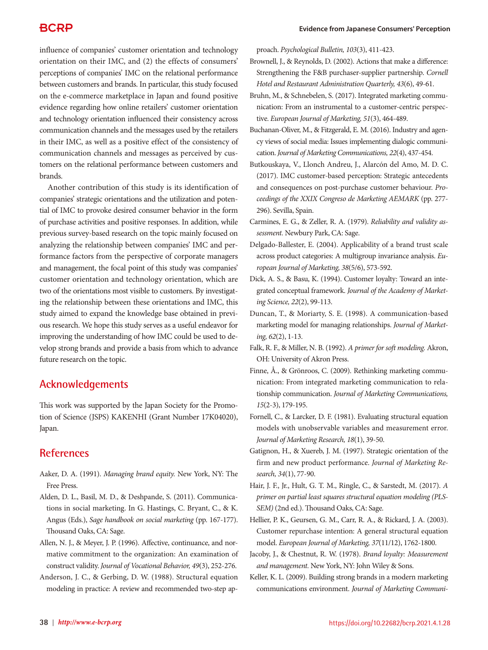influence of companies' customer orientation and technology orientation on their IMC, and (2) the effects of consumers' perceptions of companies' IMC on the relational performance between customers and brands. In particular, this study focused on the e-commerce marketplace in Japan and found positive evidence regarding how online retailers' customer orientation and technology orientation influenced their consistency across communication channels and the messages used by the retailers in their IMC, as well as a positive effect of the consistency of communication channels and messages as perceived by customers on the relational performance between customers and brands.

Another contribution of this study is its identification of companies' strategic orientations and the utilization and potential of IMC to provoke desired consumer behavior in the form of purchase activities and positive responses. In addition, while previous survey-based research on the topic mainly focused on analyzing the relationship between companies' IMC and performance factors from the perspective of corporate managers and management, the focal point of this study was companies' customer orientation and technology orientation, which are two of the orientations most visible to customers. By investigating the relationship between these orientations and IMC, this study aimed to expand the knowledge base obtained in previous research. We hope this study serves as a useful endeavor for improving the understanding of how IMC could be used to develop strong brands and provide a basis from which to advance future research on the topic.

### **Acknowledgements**

This work was supported by the Japan Society for the Promotion of Science (JSPS) KAKENHI (Grant Number 17K04020), Japan.

## **References**

- Aaker, D. A. (1991). *Managing brand equity.* New York, NY: The Free Press.
- Alden, D. L., Basil, M. D., & Deshpande, S. (2011). Communications in social marketing. In G. Hastings, C. Bryant, C., & K. Angus (Eds.), *Sage handbook on social marketing* (pp. 167-177). Thousand Oaks, CA: Sage.
- Allen, N. J., & Meyer, J. P. (1996). Affective, continuance, and normative commitment to the organization: An examination of construct validity. *Journal of Vocational Behavior, 49*(3), 252-276.
- Anderson, J. C., & Gerbing, D. W. (1988). Structural equation modeling in practice: A review and recommended two-step ap-

proach. *Psychological Bulletin, 103*(3), 411-423.

- Brownell, J., & Reynolds, D. (2002). Actions that make a difference: Strengthening the F&B purchaser-supplier partnership. *Cornell Hotel and Restaurant Administration Quarterly, 43*(6), 49-61.
- Bruhn, M., & Schnebelen, S. (2017). Integrated marketing communication: From an instrumental to a customer-centric perspective. *European Journal of Marketing, 51*(3), 464-489.
- Buchanan-Oliver, M., & Fitzgerald, E. M. (2016). Industry and agency views of social media: Issues implementing dialogic communication. *Journal of Marketing Communications, 22*(4), 437-454.
- Butkouskaya, V., Llonch Andreu, J., Alarcón del Amo, M. D. C. (2017). IMC customer-based perception: Strategic antecedents and consequences on post-purchase customer behaviour. *Proceedings of the XXIX Congreso de Marketing AEMARK* (pp. 277- 296). Sevilla, Spain.
- Carmines, E. G., & Zeller, R. A. (1979). *Reliability and validity assessment.* Newbury Park, CA: Sage.
- Delgado-Ballester, E. (2004). Applicability of a brand trust scale across product categories: A multigroup invariance analysis. *European Journal of Marketing, 38*(5/6), 573-592.
- Dick, A. S., & Basu, K. (1994). Customer loyalty: Toward an integrated conceptual framework. *Journal of the Academy of Marketing Science, 22*(2), 99-113.
- Duncan, T., & Moriarty, S. E. (1998). A communication-based marketing model for managing relationships. *Journal of Marketing, 62*(2), 1-13.
- Falk, R. F., & Miller, N. B. (1992). *A primer for soft modeling.* Akron, OH: University of Akron Press.
- Finne, Å., & Grönroos, C. (2009). Rethinking marketing communication: From integrated marketing communication to relationship communication. *Journal of Marketing Communications, 15*(2-3), 179-195.
- Fornell, C., & Larcker, D. F. (1981). Evaluating structural equation models with unobservable variables and measurement error. *Journal of Marketing Research, 18*(1), 39-50.
- Gatignon, H., & Xuereb, J. M. (1997). Strategic orientation of the firm and new product performance. *Journal of Marketing Research, 34*(1), 77-90.
- Hair, J. F., Jr., Hult, G. T. M., Ringle, C., & Sarstedt, M. (2017). *A primer on partial least squares structural equation modeling (PLS-SEM)* (2nd ed.). Thousand Oaks, CA: Sage.
- Hellier, P. K., Geursen, G. M., Carr, R. A., & Rickard, J. A. (2003). Customer repurchase intention: A general structural equation model. *European Journal of Marketing, 37*(11/12), 1762-1800.
- Jacoby, J., & Chestnut, R. W. (1978). *Brand loyalty: Measurement and management.* New York, NY: John Wiley & Sons.
- Keller, K. L. (2009). Building strong brands in a modern marketing communications environment. *Journal of Marketing Communi-*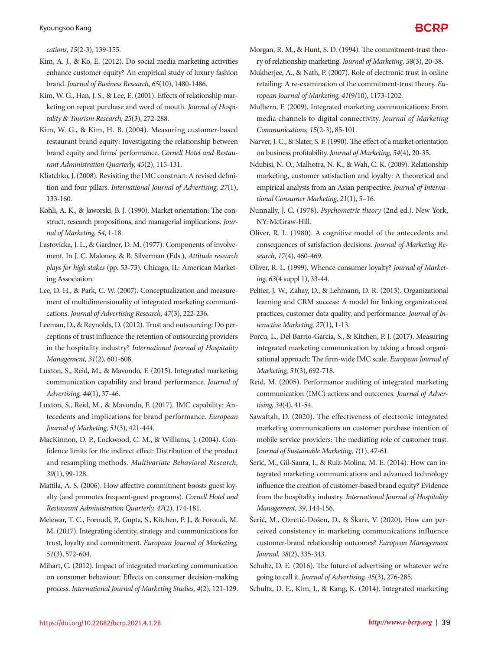*cations, 15*(2-3), 139-155.

- Kim, A. J., & Ko, E. (2012). Do social media marketing activities enhance customer equity? An empirical study of luxury fashion brand. *Journal of Business Research, 65*(10), 1480-1486.
- Kim, W. G., Han, J. S., & Lee, E. (2001). Effects of relationship marketing on repeat purchase and word of mouth. *Journal of Hospitality* & *Tourism Research, 25*(3), 272-288.
- Kim, W. G., & Kim, H. B. (2004). Measuring customer-based restaurant brand equity: Investigating the relationship between brand equity and firms' performance. *Cornell Hotel and Restaurant Administration Quarterly, 45*(2), 115-131.
- Kliatchko, J. (2008). Revisiting the IMC construct: A revised definition and four pillars. *International Journal of Advertising, 27*(1), 133-160.
- Kohli, A. K., & Jaworski, B. J. (1990). Market orientation: The construct, research propositions, and managerial implications. *Journal of Marketing, 54*, 1-18.
- Lastovicka, J. L., & Gardner, D. M. (1977). Components of involvement. In J. C. Maloney, & B. Silverman (Eds.), *Attitude research plays for high stakes* (pp. 53-73). Chicago, IL: American Marketing Association.
- Lee, D. H., & Park, C. W. (2007). Conceptualization and measurement of multidimensionality of integrated marketing communications. *Journal of Advertising Research, 47*(3), 222-236.
- Leeman, D., & Reynolds, D. (2012). Trust and outsourcing: Do perceptions of trust influence the retention of outsourcing providers in the hospitality industry? *International Journal of Hospitality Management, 31*(2), 601-608.
- Luxton, S., Reid, M., & Mavondo, F. (2015). Integrated marketing communication capability and brand performance. *Journal of Advertising, 44*(1), 37-46.
- Luxton, S., Reid, M., & Mavondo, F. (2017). IMC capability: Antecedents and implications for brand performance. *European Journal of Marketing, 51*(3), 421-444.
- MacKinnon, D. P., Lockwood, C. M., & Williams, J. (2004). Confidence limits for the indirect effect: Distribution of the product and resampling methods. *Multivariate Behavioral Research, 39*(1), 99-128.
- Mattila, A. S. (2006). How affective commitment boosts guest loyalty (and promotes frequent-guest programs). *Cornell Hotel and Restaurant Administration Quarterly, 47*(2), 174-181.
- Melewar, T. C., Foroudi, P., Gupta, S., Kitchen, P. J., & Foroudi, M. M. (2017). Integrating identity, strategy and communications for trust, loyalty and commitment. *European Journal of Marketing, 51*(3), 572-604.
- Mihart, C. (2012). Impact of integrated marketing communication on consumer behaviour: Effects on consumer decision-making process. *International Journal of Marketing Studies, 4*(2), 121-129.
- Morgan, R. M., & Hunt, S. D. (1994). The commitment-trust theory of relationship marketing. *Journal of Marketing, 58*(3), 20-38.
- Mukherjee, A., & Nath, P. (2007). Role of electronic trust in online retailing: A re-examination of the commitment-trust theory. *European Journal of Marketing, 41*(9/10), 1173-1202.
- Mulhern, F. (2009). Integrated marketing communications: From media channels to digital connectivity. *Journal of Marketing Communications, 15*(2-3), 85-101.
- Narver, J. C., & Slater, S. F. (1990). The effect of a market orientation on business profitability. *Journal of Marketing, 54*(4), 20-35.
- Ndubisi, N. O., Malhotra, N. K., & Wah, C. K. (2009). Relationship marketing, customer satisfaction and loyalty: A theoretical and empirical analysis from an Asian perspective. *Journal of International Consumer Marketing, 21*(1), 5–16.
- Nunnally, J. C. (1978). *Psychometric theory* (2nd ed.). New York, NY: McGraw-Hill.
- Oliver, R. L. (1980). A cognitive model of the antecedents and consequences of satisfaction decisions. *Journal of Marketing Research, 17*(4), 460-469.
- Oliver, R. L. (1999). Whence consumer loyalty? *Journal of Marketing, 63*(4 suppl 1), 33-44.
- Peltier, J. W., Zahay, D., & Lehmann, D. R. (2013). Organizational learning and CRM success: A model for linking organizational practices, customer data quality, and performance. *Journal of Interactive Marketing, 27*(1), 1-13.
- Porcu, L., Del Barrio-García, S., & Kitchen, P. J. (2017). Measuring integrated marketing communication by taking a broad organisational approach: The firm-wide IMC scale. *European Journal of Marketing, 51*(3), 692-718.
- Reid, M. (2005). Performance auditing of integrated marketing communication (IMC) actions and outcomes. *Journal of Advertising, 34*(4), 41-54.
- Sawaftah, D. (2020). The effectiveness of electronic integrated marketing communications on customer purchase intention of mobile service providers: The mediating role of customer trust. J*ournal of Sustainable Marketing, 1*(1), 47-61.
- Šerić, M., Gil-Saura, I., & Ruiz-Molina, M. E. (2014). How can integrated marketing communications and advanced technology influence the creation of customer-based brand equity? Evidence from the hospitality industry. *International Journal of Hospitality Management, 39*, 144-156.
- Šerić, M., Ozretić-Došen, D., & Škare, V. (2020). How can perceived consistency in marketing communications influence customer-brand relationship outcomes? *European Management Journal, 38*(2), 335-343.
- Schultz, D. E. (2016). The future of advertising or whatever we're going to call it. *Journal of Advertising, 45*(3), 276-285.
- Schultz, D. E., Kim, I., & Kang, K. (2014). Integrated marketing